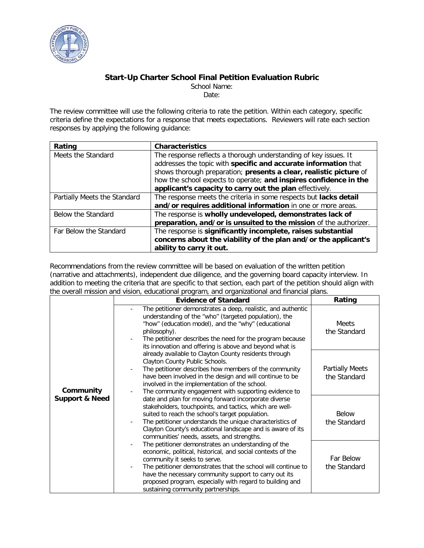

## **Start-Up Charter School Final Petition Evaluation Rubric**

School Name: Date:

The review committee will use the following criteria to rate the petition. Within each category, specific criteria define the expectations for a response that meets expectations. Reviewers will rate each section responses by applying the following guidance:

| Rating                       | <b>Characteristics</b>                                             |  |  |  |
|------------------------------|--------------------------------------------------------------------|--|--|--|
| Meets the Standard           | The response reflects a thorough understanding of key issues. It   |  |  |  |
|                              | addresses the topic with specific and accurate information that    |  |  |  |
|                              | shows thorough preparation; presents a clear, realistic picture of |  |  |  |
|                              | how the school expects to operate; and inspires confidence in the  |  |  |  |
|                              | applicant's capacity to carry out the plan effectively.            |  |  |  |
| Partially Meets the Standard | The response meets the criteria in some respects but lacks detail  |  |  |  |
|                              | and/or requires additional information in one or more areas.       |  |  |  |
| Below the Standard           | The response is wholly undeveloped, demonstrates lack of           |  |  |  |
|                              | preparation, and/or is unsuited to the mission of the authorizer.  |  |  |  |
| Far Below the Standard       | The response is significantly incomplete, raises substantial       |  |  |  |
|                              | concerns about the viability of the plan and/or the applicant's    |  |  |  |
|                              | ability to carry it out.                                           |  |  |  |

Recommendations from the review committee will be based on evaluation of the written petition (narrative and attachments), independent due diligence, and the governing board capacity interview. In addition to meeting the criteria that are specific to that section, each part of the petition should align with the overall mission and vision, educational program, and organizational and financial plans.

|                                        | <b>Evidence of Standard</b>                                                                                                                                                                                                                                                                                                                                                   | Rating                                 |
|----------------------------------------|-------------------------------------------------------------------------------------------------------------------------------------------------------------------------------------------------------------------------------------------------------------------------------------------------------------------------------------------------------------------------------|----------------------------------------|
| Community<br><b>Support &amp; Need</b> | The petitioner demonstrates a deep, realistic, and authentic<br>understanding of the "who" (targeted population), the<br>"how" (education model), and the "why" (educational<br>philosophy).<br>The petitioner describes the need for the program because<br>its innovation and offering is above and beyond what is                                                          | <b>Meets</b><br>the Standard           |
|                                        | already available to Clayton County residents through<br>Clayton County Public Schools.<br>The petitioner describes how members of the community<br>have been involved in the design and will continue to be<br>involved in the implementation of the school.<br>The community engagement with supporting evidence to                                                         | <b>Partially Meets</b><br>the Standard |
|                                        | date and plan for moving forward incorporate diverse<br>stakeholders, touchpoints, and tactics, which are well-<br>suited to reach the school's target population.<br>The petitioner understands the unique characteristics of<br>Clayton County's educational landscape and is aware of its<br>communities' needs, assets, and strengths.                                    | <b>Below</b><br>the Standard           |
|                                        | The petitioner demonstrates an understanding of the<br>economic, political, historical, and social contexts of the<br>community it seeks to serve.<br>The petitioner demonstrates that the school will continue to<br>have the necessary community support to carry out its<br>proposed program, especially with regard to building and<br>sustaining community partnerships. | Far Below<br>the Standard              |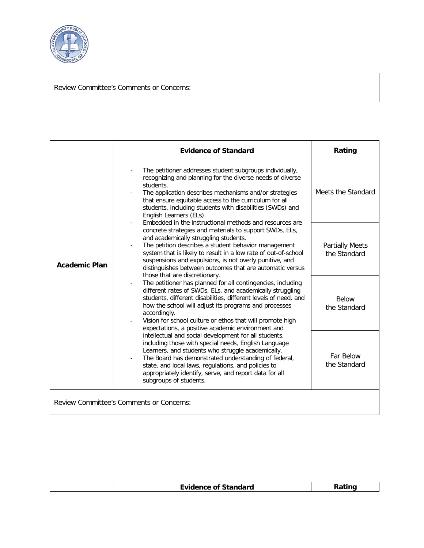

Review Committee's Comments or Concerns:

|                                          | <b>Evidence of Standard</b>                                                                                                                                                                                                                                                                                                                                                                               | Rating                                 |  |  |
|------------------------------------------|-----------------------------------------------------------------------------------------------------------------------------------------------------------------------------------------------------------------------------------------------------------------------------------------------------------------------------------------------------------------------------------------------------------|----------------------------------------|--|--|
| <b>Academic Plan</b>                     | The petitioner addresses student subgroups individually,<br>recognizing and planning for the diverse needs of diverse<br>students.<br>The application describes mechanisms and/or strategies<br>that ensure equitable access to the curriculum for all<br>students, including students with disabilities (SWDs) and<br>English Learners (ELs).<br>Embedded in the instructional methods and resources are | Meets the Standard                     |  |  |
|                                          | concrete strategies and materials to support SWDs, ELs,<br>and academically struggling students.<br>The petition describes a student behavior management<br>system that is likely to result in a low rate of out-of-school<br>suspensions and expulsions, is not overly punitive, and<br>distinguishes between outcomes that are automatic versus<br>those that are discretionary.                        | <b>Partially Meets</b><br>the Standard |  |  |
|                                          | The petitioner has planned for all contingencies, including<br>different rates of SWDs, ELs, and academically struggling<br>students, different disabilities, different levels of need, and<br>how the school will adjust its programs and processes<br>accordingly.<br>Vision for school culture or ethos that will promote high<br>expectations, a positive academic environment and                    | <b>Below</b><br>the Standard           |  |  |
|                                          | intellectual and social development for all students,<br>including those with special needs, English Language<br>Learners, and students who struggle academically.<br>The Board has demonstrated understanding of federal,<br>state, and local laws, regulations, and policies to<br>appropriately identify, serve, and report data for all<br>subgroups of students.                                     | Far Below<br>the Standard              |  |  |
| Review Committee's Comments or Concerns: |                                                                                                                                                                                                                                                                                                                                                                                                           |                                        |  |  |

| and the state of the state of the state of the state of the state of the state of the state of the state of the<br>f Standard<br>:e ot∶<br>. |  |
|----------------------------------------------------------------------------------------------------------------------------------------------|--|
|                                                                                                                                              |  |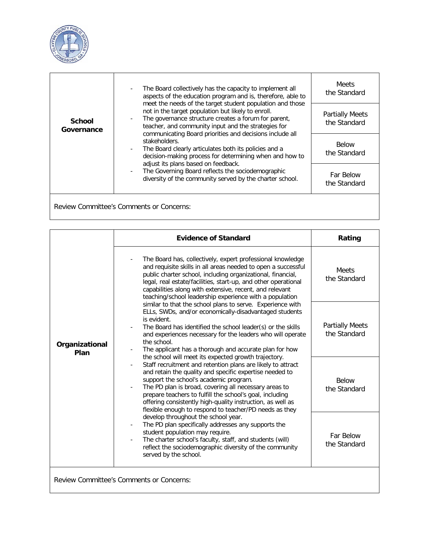

| <b>School</b><br>Governance | <b>Meets</b><br>The Board collectively has the capacity to implement all<br>$\overline{\phantom{a}}$<br>aspects of the education program and is, therefore, able to<br>meet the needs of the target student population and those<br>not in the target population but likely to enroll.<br>The governance structure creates a forum for parent,<br>teacher, and community input and the strategies for<br>communicating Board priorities and decisions include all<br>stakeholders.<br><b>Below</b><br>The Board clearly articulates both its policies and a<br>$\blacksquare$<br>decision-making process for determining when and how to<br>adjust its plans based on feedback.<br>The Governing Board reflects the sociodemographic<br>$\overline{\phantom{a}}$<br>Far Below<br>diversity of the community served by the charter school. | the Standard                           |
|-----------------------------|-------------------------------------------------------------------------------------------------------------------------------------------------------------------------------------------------------------------------------------------------------------------------------------------------------------------------------------------------------------------------------------------------------------------------------------------------------------------------------------------------------------------------------------------------------------------------------------------------------------------------------------------------------------------------------------------------------------------------------------------------------------------------------------------------------------------------------------------|----------------------------------------|
|                             |                                                                                                                                                                                                                                                                                                                                                                                                                                                                                                                                                                                                                                                                                                                                                                                                                                           | <b>Partially Meets</b><br>the Standard |
|                             |                                                                                                                                                                                                                                                                                                                                                                                                                                                                                                                                                                                                                                                                                                                                                                                                                                           | the Standard                           |
|                             |                                                                                                                                                                                                                                                                                                                                                                                                                                                                                                                                                                                                                                                                                                                                                                                                                                           | the Standard                           |
|                             | <b>Review Committee's Comments or Concerns:</b>                                                                                                                                                                                                                                                                                                                                                                                                                                                                                                                                                                                                                                                                                                                                                                                           |                                        |

|                        | <b>Evidence of Standard</b>                                                                                                                                                                                                                                                                                                                                                                                                                                                                                                                                                                                                                                                                                                                                                                                                                                                                                                                                                                                                                                                                         | Rating                                 |
|------------------------|-----------------------------------------------------------------------------------------------------------------------------------------------------------------------------------------------------------------------------------------------------------------------------------------------------------------------------------------------------------------------------------------------------------------------------------------------------------------------------------------------------------------------------------------------------------------------------------------------------------------------------------------------------------------------------------------------------------------------------------------------------------------------------------------------------------------------------------------------------------------------------------------------------------------------------------------------------------------------------------------------------------------------------------------------------------------------------------------------------|----------------------------------------|
| Organizational<br>Plan | The Board has, collectively, expert professional knowledge<br>and requisite skills in all areas needed to open a successful<br>public charter school, including organizational, financial,<br>legal, real estate/facilities, start-up, and other operational<br>capabilities along with extensive, recent, and relevant<br>teaching/school leadership experience with a population                                                                                                                                                                                                                                                                                                                                                                                                                                                                                                                                                                                                                                                                                                                  | <b>Meets</b><br>the Standard           |
|                        | similar to that the school plans to serve. Experience with<br>ELLs, SWDs, and/or economically-disadvantaged students<br>is evident.<br>The Board has identified the school leader(s) or the skills<br>and experiences necessary for the leaders who will operate<br>the school.<br>The applicant has a thorough and accurate plan for how<br>the school will meet its expected growth trajectory.<br>Staff recruitment and retention plans are likely to attract<br>and retain the quality and specific expertise needed to<br>support the school's academic program.<br>The PD plan is broad, covering all necessary areas to<br>prepare teachers to fulfill the school's goal, including<br>offering consistently high-quality instruction, as well as<br>flexible enough to respond to teacher/PD needs as they<br>develop throughout the school year.<br>The PD plan specifically addresses any supports the<br>student population may require.<br>The charter school's faculty, staff, and students (will)<br>reflect the sociodemographic diversity of the community<br>served by the school. | <b>Partially Meets</b><br>the Standard |
|                        |                                                                                                                                                                                                                                                                                                                                                                                                                                                                                                                                                                                                                                                                                                                                                                                                                                                                                                                                                                                                                                                                                                     | <b>Below</b><br>the Standard           |
|                        |                                                                                                                                                                                                                                                                                                                                                                                                                                                                                                                                                                                                                                                                                                                                                                                                                                                                                                                                                                                                                                                                                                     | Far Below<br>the Standard              |
|                        | <b>Review Committee's Comments or Concerns:</b>                                                                                                                                                                                                                                                                                                                                                                                                                                                                                                                                                                                                                                                                                                                                                                                                                                                                                                                                                                                                                                                     |                                        |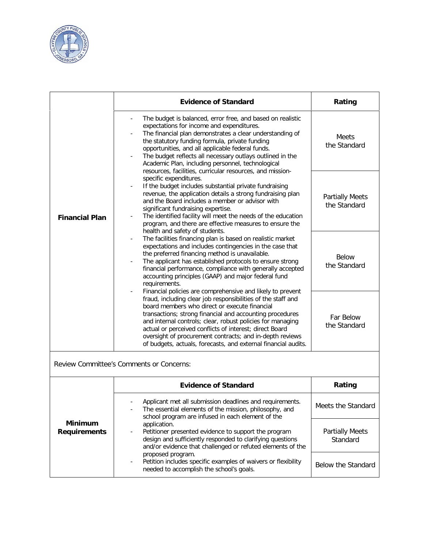

|                                                 | <b>Evidence of Standard</b>                                                                                                                                                                                                                                                                                                                                                                                                                                                                    | Rating                                 |  |  |
|-------------------------------------------------|------------------------------------------------------------------------------------------------------------------------------------------------------------------------------------------------------------------------------------------------------------------------------------------------------------------------------------------------------------------------------------------------------------------------------------------------------------------------------------------------|----------------------------------------|--|--|
| <b>Financial Plan</b>                           | The budget is balanced, error free, and based on realistic<br>expectations for income and expenditures.<br>The financial plan demonstrates a clear understanding of<br>the statutory funding formula, private funding<br>opportunities, and all applicable federal funds.<br>The budget reflects all necessary outlays outlined in the                                                                                                                                                         | Meets<br>the Standard                  |  |  |
|                                                 | Academic Plan, including personnel, technological<br>resources, facilities, curricular resources, and mission-<br>specific expenditures.<br>If the budget includes substantial private fundraising<br>revenue, the application details a strong fundraising plan<br>and the Board includes a member or advisor with<br>significant fundraising expertise.<br>The identified facility will meet the needs of the education<br>program, and there are effective measures to ensure the           | <b>Partially Meets</b><br>the Standard |  |  |
|                                                 | health and safety of students.<br>The facilities financing plan is based on realistic market<br>expectations and includes contingencies in the case that<br>the preferred financing method is unavailable.<br>The applicant has established protocols to ensure strong<br>financial performance, compliance with generally accepted<br>accounting principles (GAAP) and major federal fund<br>requirements.                                                                                    | <b>Below</b><br>the Standard           |  |  |
|                                                 | Financial policies are comprehensive and likely to prevent<br>fraud, including clear job responsibilities of the staff and<br>board members who direct or execute financial<br>transactions; strong financial and accounting procedures<br>and internal controls; clear, robust policies for managing<br>actual or perceived conflicts of interest; direct Board<br>oversight of procurement contracts; and in-depth reviews<br>of budgets, actuals, forecasts, and external financial audits. | Far Below<br>the Standard              |  |  |
| <b>Review Committee's Comments or Concerns:</b> |                                                                                                                                                                                                                                                                                                                                                                                                                                                                                                |                                        |  |  |
|                                                 | <b>Evidence of Standard</b>                                                                                                                                                                                                                                                                                                                                                                                                                                                                    | Rating                                 |  |  |
|                                                 | Applicant met all submission deadlines and requirements.<br>The essential elements of the mission, philosophy, and<br>school program are infused in each element of the                                                                                                                                                                                                                                                                                                                        | Meets the Standard                     |  |  |
| <b>Minimum</b><br><b>Requirements</b>           | application.<br>Petitioner presented evidence to support the program<br>design and sufficiently responded to clarifying questions<br>and the company of the set of the company of the company funds of the                                                                                                                                                                                                                                                                                     | <b>Partially Meets</b><br>Standard     |  |  |

| design and sufficiently responded to clarifying questions<br>and/or evidence that challenged or refuted elements of the        | <b>Standard</b>           |
|--------------------------------------------------------------------------------------------------------------------------------|---------------------------|
| proposed program.<br>Petition includes specific examples of waivers or flexibility<br>needed to accomplish the school's goals. | <b>Below the Standard</b> |